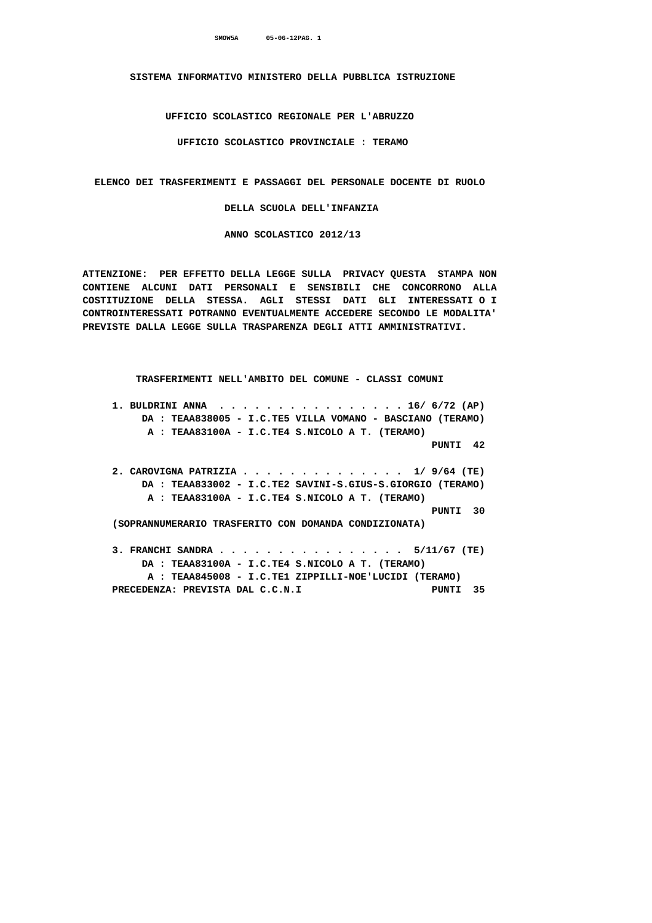**SMOW5A 05-06-12PAG. 1**

 **SISTEMA INFORMATIVO MINISTERO DELLA PUBBLICA ISTRUZIONE**

 **UFFICIO SCOLASTICO REGIONALE PER L'ABRUZZO**

 **UFFICIO SCOLASTICO PROVINCIALE : TERAMO**

 **ELENCO DEI TRASFERIMENTI E PASSAGGI DEL PERSONALE DOCENTE DI RUOLO**

 **DELLA SCUOLA DELL'INFANZIA**

 **ANNO SCOLASTICO 2012/13**

 **ATTENZIONE: PER EFFETTO DELLA LEGGE SULLA PRIVACY QUESTA STAMPA NON CONTIENE ALCUNI DATI PERSONALI E SENSIBILI CHE CONCORRONO ALLA COSTITUZIONE DELLA STESSA. AGLI STESSI DATI GLI INTERESSATI O I CONTROINTERESSATI POTRANNO EVENTUALMENTE ACCEDERE SECONDO LE MODALITA' PREVISTE DALLA LEGGE SULLA TRASPARENZA DEGLI ATTI AMMINISTRATIVI.**

 **TRASFERIMENTI NELL'AMBITO DEL COMUNE - CLASSI COMUNI 1. BULDRINI ANNA . . . . . . . . . . . . . . . . 16/ 6/72 (AP) DA : TEAA838005 - I.C.TE5 VILLA VOMANO - BASCIANO (TERAMO) A : TEAA83100A - I.C.TE4 S.NICOLO A T. (TERAMO) PUNTI 42 2. CAROVIGNA PATRIZIA . . . . . . . . . . . . . . 1/ 9/64 (TE) DA : TEAA833002 - I.C.TE2 SAVINI-S.GIUS-S.GIORGIO (TERAMO) A : TEAA83100A - I.C.TE4 S.NICOLO A T. (TERAMO) PUNTI 30 (SOPRANNUMERARIO TRASFERITO CON DOMANDA CONDIZIONATA) 3. FRANCHI SANDRA . . . . . . . . . . . . . . . . 5/11/67 (TE) DA : TEAA83100A - I.C.TE4 S.NICOLO A T. (TERAMO) A : TEAA845008 - I.C.TE1 ZIPPILLI-NOE'LUCIDI (TERAMO)**

PRECEDENZA: PREVISTA DAL C.C.N.I PUNTI 35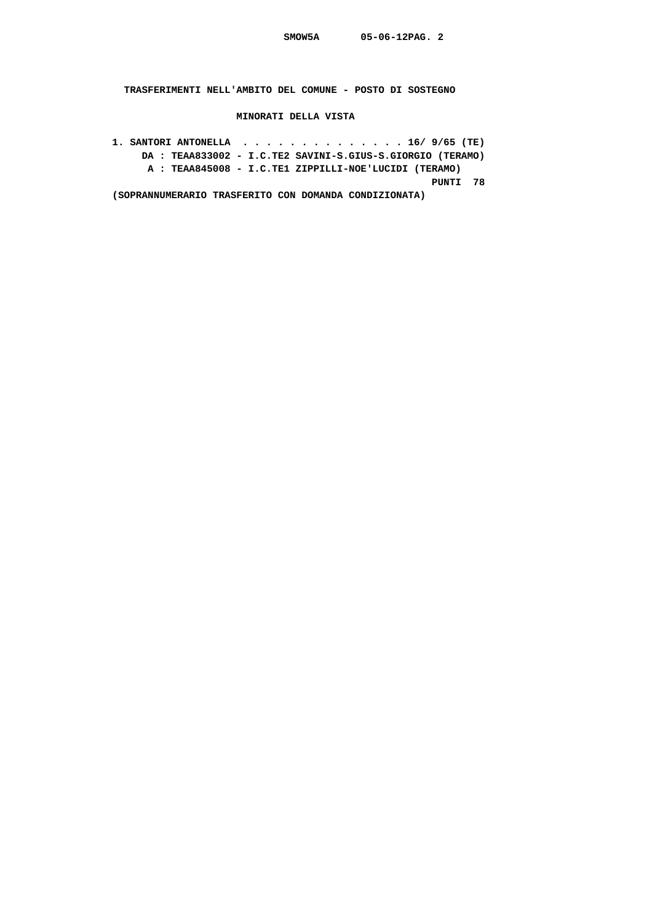**TRASFERIMENTI NELL'AMBITO DEL COMUNE - POSTO DI SOSTEGNO**

## **MINORATI DELLA VISTA**

 **1. SANTORI ANTONELLA . . . . . . . . . . . . . . 16/ 9/65 (TE) DA : TEAA833002 - I.C.TE2 SAVINI-S.GIUS-S.GIORGIO (TERAMO) A : TEAA845008 - I.C.TE1 ZIPPILLI-NOE'LUCIDI (TERAMO) PUNTI 78 (SOPRANNUMERARIO TRASFERITO CON DOMANDA CONDIZIONATA)**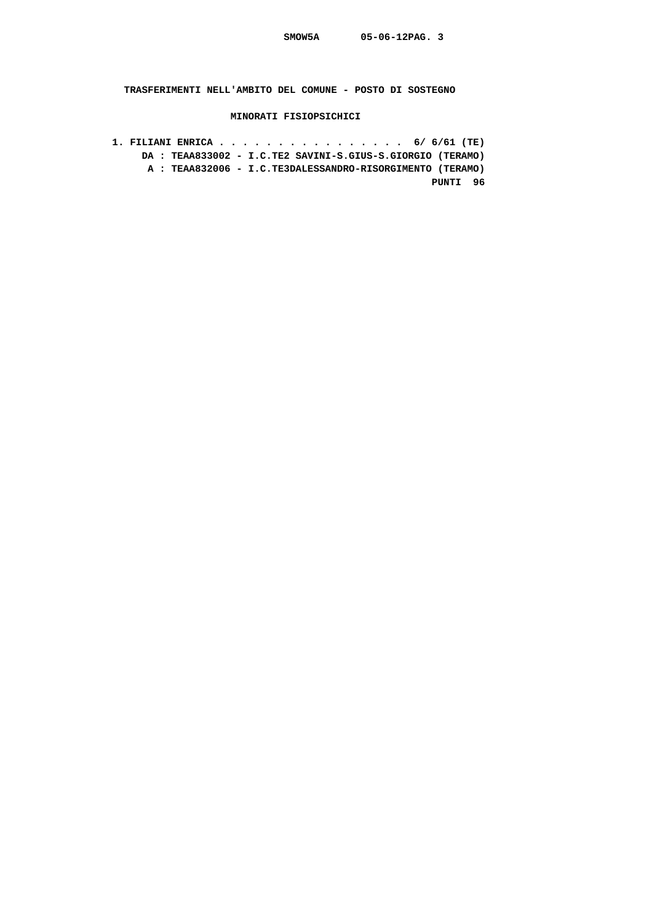**TRASFERIMENTI NELL'AMBITO DEL COMUNE - POSTO DI SOSTEGNO**

## **MINORATI FISIOPSICHICI**

 **1. FILIANI ENRICA . . . . . . . . . . . . . . . . 6/ 6/61 (TE) DA : TEAA833002 - I.C.TE2 SAVINI-S.GIUS-S.GIORGIO (TERAMO) A : TEAA832006 - I.C.TE3DALESSANDRO-RISORGIMENTO (TERAMO) PUNTI 96**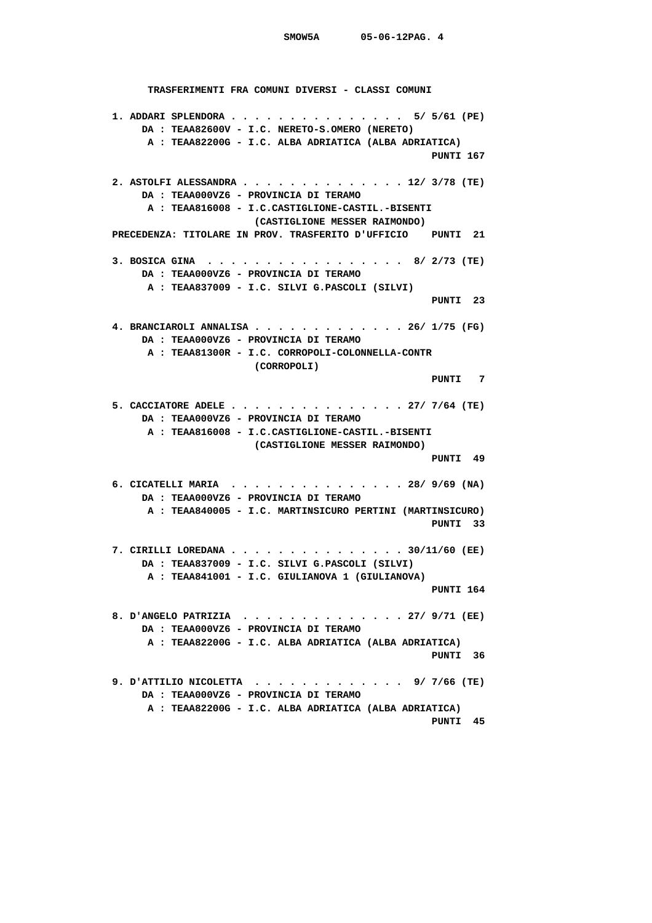**TRASFERIMENTI FRA COMUNI DIVERSI - CLASSI COMUNI 1. ADDARI SPLENDORA . . . . . . . . . . . . . . . 5/ 5/61 (PE) DA : TEAA82600V - I.C. NERETO-S.OMERO (NERETO) A : TEAA82200G - I.C. ALBA ADRIATICA (ALBA ADRIATICA) PUNTI 167 2. ASTOLFI ALESSANDRA . . . . . . . . . . . . . . 12/ 3/78 (TE) DA : TEAA000VZ6 - PROVINCIA DI TERAMO A : TEAA816008 - I.C.CASTIGLIONE-CASTIL.-BISENTI (CASTIGLIONE MESSER RAIMONDO) PRECEDENZA: TITOLARE IN PROV. TRASFERITO D'UFFICIO PUNTI 21 3. BOSICA GINA . . . . . . . . . . . . . . . . . 8/ 2/73 (TE) DA : TEAA000VZ6 - PROVINCIA DI TERAMO A : TEAA837009 - I.C. SILVI G.PASCOLI (SILVI) PUNTI 23 4. BRANCIAROLI ANNALISA . . . . . . . . . . . . . 26/ 1/75 (FG) DA : TEAA000VZ6 - PROVINCIA DI TERAMO A : TEAA81300R - I.C. CORROPOLI-COLONNELLA-CONTR (CORROPOLI) PUNTI 7 5. CACCIATORE ADELE . . . . . . . . . . . . . . . 27/ 7/64 (TE) DA : TEAA000VZ6 - PROVINCIA DI TERAMO A : TEAA816008 - I.C.CASTIGLIONE-CASTIL.-BISENTI (CASTIGLIONE MESSER RAIMONDO) PUNTI 49 6. CICATELLI MARIA . . . . . . . . . . . . . . . 28/ 9/69 (NA) DA : TEAA000VZ6 - PROVINCIA DI TERAMO A : TEAA840005 - I.C. MARTINSICURO PERTINI (MARTINSICURO) PUNTI** 33  **7. CIRILLI LOREDANA . . . . . . . . . . . . . . . 30/11/60 (EE) DA : TEAA837009 - I.C. SILVI G.PASCOLI (SILVI) A : TEAA841001 - I.C. GIULIANOVA 1 (GIULIANOVA) PUNTI 164 8. D'ANGELO PATRIZIA . . . . . . . . . . . . . . 27/ 9/71 (EE) DA : TEAA000VZ6 - PROVINCIA DI TERAMO A : TEAA82200G - I.C. ALBA ADRIATICA (ALBA ADRIATICA) PUNTI 36 9. D'ATTILIO NICOLETTA . . . . . . . . . . . . . 9/ 7/66 (TE) DA : TEAA000VZ6 - PROVINCIA DI TERAMO A : TEAA82200G - I.C. ALBA ADRIATICA (ALBA ADRIATICA) PUNTI 45**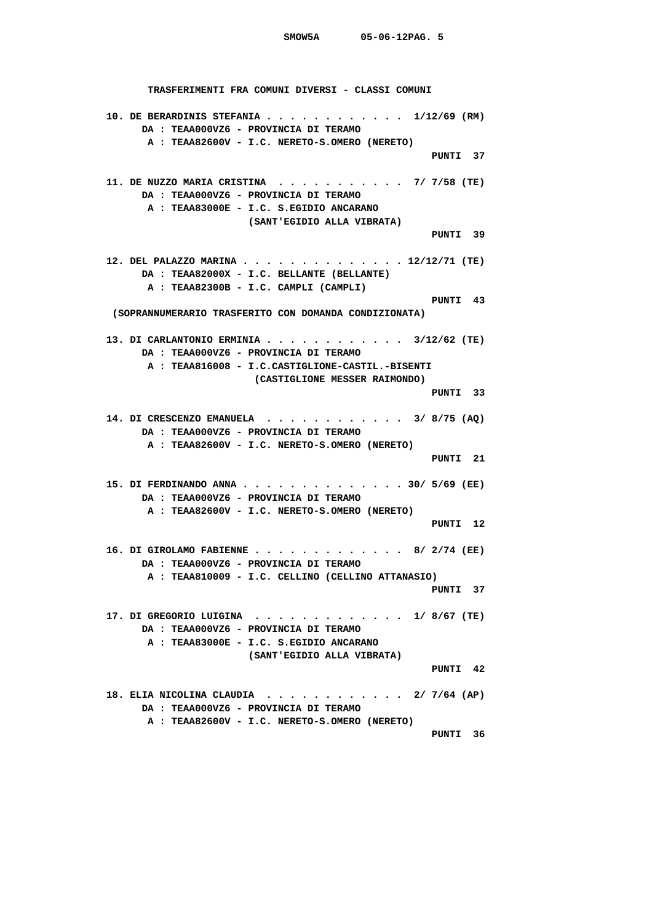**TRASFERIMENTI FRA COMUNI DIVERSI - CLASSI COMUNI 10. DE BERARDINIS STEFANIA . . . . . . . . . . . . 1/12/69 (RM) DA : TEAA000VZ6 - PROVINCIA DI TERAMO A : TEAA82600V - I.C. NERETO-S.OMERO (NERETO) PUNTI 37 11. DE NUZZO MARIA CRISTINA . . . . . . . . . . . 7/ 7/58 (TE) DA : TEAA000VZ6 - PROVINCIA DI TERAMO A : TEAA83000E - I.C. S.EGIDIO ANCARANO (SANT'EGIDIO ALLA VIBRATA) PUNTI 39 12. DEL PALAZZO MARINA . . . . . . . . . . . . . . 12/12/71 (TE) DA : TEAA82000X - I.C. BELLANTE (BELLANTE) A : TEAA82300B - I.C. CAMPLI (CAMPLI) PUNTI 43 (SOPRANNUMERARIO TRASFERITO CON DOMANDA CONDIZIONATA) 13. DI CARLANTONIO ERMINIA . . . . . . . . . . . . 3/12/62 (TE) DA : TEAA000VZ6 - PROVINCIA DI TERAMO A : TEAA816008 - I.C.CASTIGLIONE-CASTIL.-BISENTI (CASTIGLIONE MESSER RAIMONDO) PUNTI 33 14. DI CRESCENZO EMANUELA . . . . . . . . . . . . 3/ 8/75 (AQ) DA : TEAA000VZ6 - PROVINCIA DI TERAMO A : TEAA82600V - I.C. NERETO-S.OMERO (NERETO) PUNTI 21 15. DI FERDINANDO ANNA . . . . . . . . . . . . . . 30/ 5/69 (EE) DA : TEAA000VZ6 - PROVINCIA DI TERAMO A : TEAA82600V - I.C. NERETO-S.OMERO (NERETO) PUNTI 12 16. DI GIROLAMO FABIENNE . . . . . . . . . . . . . 8/ 2/74 (EE) DA : TEAA000VZ6 - PROVINCIA DI TERAMO A : TEAA810009 - I.C. CELLINO (CELLINO ATTANASIO) PUNTI 37 17. DI GREGORIO LUIGINA . . . . . . . . . . . . . 1/ 8/67 (TE) DA : TEAA000VZ6 - PROVINCIA DI TERAMO A : TEAA83000E - I.C. S.EGIDIO ANCARANO (SANT'EGIDIO ALLA VIBRATA) PUNTI 42 18. ELIA NICOLINA CLAUDIA . . . . . . . . . . . . 2/ 7/64 (AP) DA : TEAA000VZ6 - PROVINCIA DI TERAMO A : TEAA82600V - I.C. NERETO-S.OMERO (NERETO) PUNTI 36**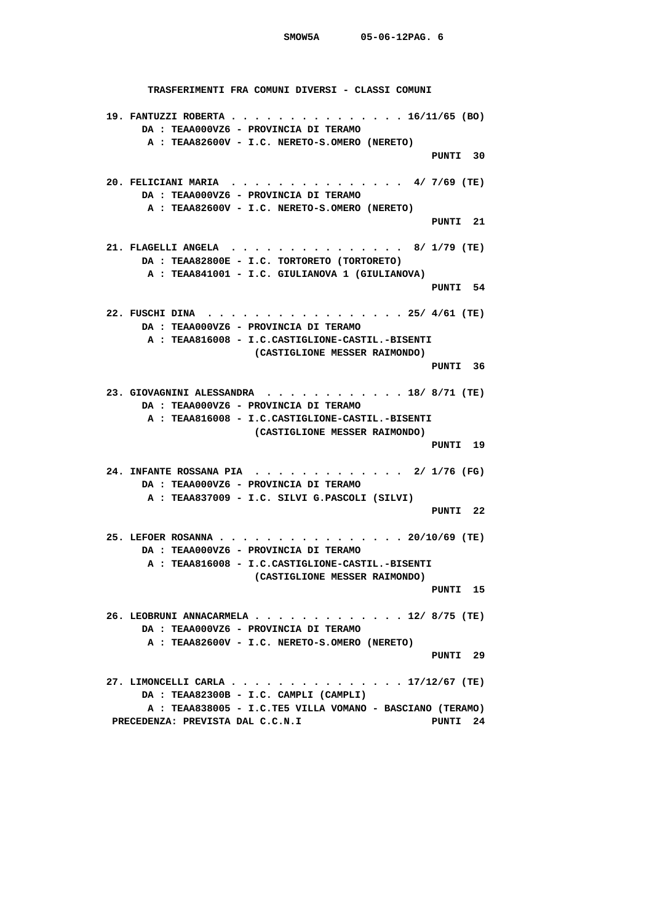**19. FANTUZZI ROBERTA . . . . . . . . . . . . . . . 16/11/65 (BO) DA : TEAA000VZ6 - PROVINCIA DI TERAMO A : TEAA82600V - I.C. NERETO-S.OMERO (NERETO) PUNTI 30 20. FELICIANI MARIA . . . . . . . . . . . . . . . 4/ 7/69 (TE) DA : TEAA000VZ6 - PROVINCIA DI TERAMO A : TEAA82600V - I.C. NERETO-S.OMERO (NERETO) PUNTI 21 21. FLAGELLI ANGELA . . . . . . . . . . . . . . . 8/ 1/79 (TE) DA : TEAA82800E - I.C. TORTORETO (TORTORETO) A : TEAA841001 - I.C. GIULIANOVA 1 (GIULIANOVA) PUNTI 54 22. FUSCHI DINA . . . . . . . . . . . . . . . . . 25/ 4/61 (TE) DA : TEAA000VZ6 - PROVINCIA DI TERAMO A : TEAA816008 - I.C.CASTIGLIONE-CASTIL.-BISENTI (CASTIGLIONE MESSER RAIMONDO) PUNTI 36 23. GIOVAGNINI ALESSANDRA . . . . . . . . . . . . 18/ 8/71 (TE) DA : TEAA000VZ6 - PROVINCIA DI TERAMO A : TEAA816008 - I.C.CASTIGLIONE-CASTIL.-BISENTI (CASTIGLIONE MESSER RAIMONDO) PUNTI 19 24. INFANTE ROSSANA PIA . . . . . . . . . . . . . 2/ 1/76 (FG) DA : TEAA000VZ6 - PROVINCIA DI TERAMO A : TEAA837009 - I.C. SILVI G.PASCOLI (SILVI) PUNTI 22 25. LEFOER ROSANNA . . . . . . . . . . . . . . . . 20/10/69 (TE) DA : TEAA000VZ6 - PROVINCIA DI TERAMO A : TEAA816008 - I.C.CASTIGLIONE-CASTIL.-BISENTI (CASTIGLIONE MESSER RAIMONDO) PUNTI 15 26. LEOBRUNI ANNACARMELA . . . . . . . . . . . . . 12/ 8/75 (TE) DA : TEAA000VZ6 - PROVINCIA DI TERAMO A : TEAA82600V - I.C. NERETO-S.OMERO (NERETO) PUNTI 29 27. LIMONCELLI CARLA . . . . . . . . . . . . . . . 17/12/67 (TE) DA : TEAA82300B - I.C. CAMPLI (CAMPLI) A : TEAA838005 - I.C.TE5 VILLA VOMANO - BASCIANO (TERAMO)** PRECEDENZA: PREVISTA DAL C.C.N.I PUNTI 24

 **TRASFERIMENTI FRA COMUNI DIVERSI - CLASSI COMUNI**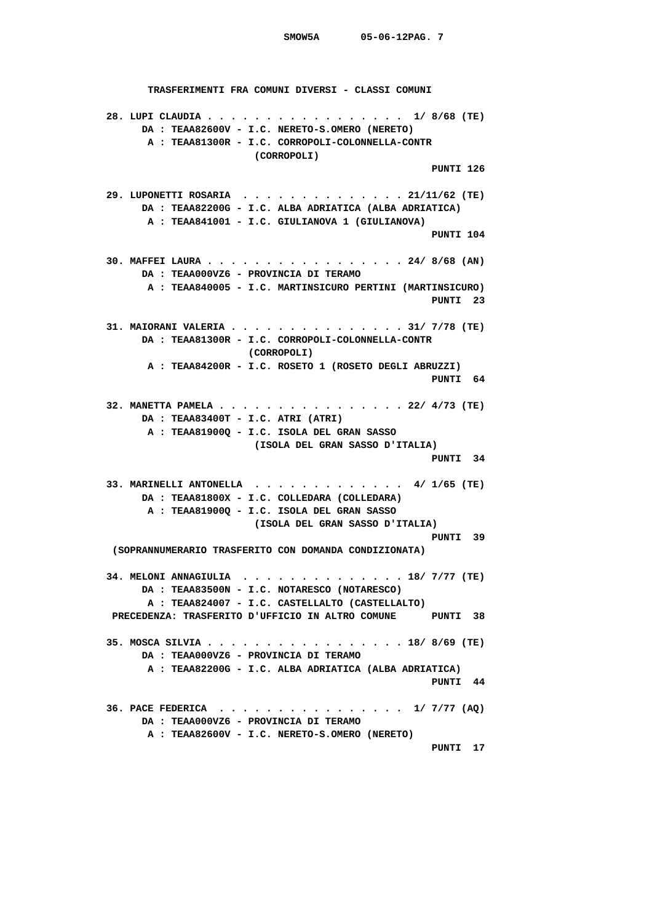**TRASFERIMENTI FRA COMUNI DIVERSI - CLASSI COMUNI 28. LUPI CLAUDIA . . . . . . . . . . . . . . . . . 1/ 8/68 (TE) DA : TEAA82600V - I.C. NERETO-S.OMERO (NERETO) A : TEAA81300R - I.C. CORROPOLI-COLONNELLA-CONTR (CORROPOLI) PUNTI 126 29. LUPONETTI ROSARIA . . . . . . . . . . . . . . 21/11/62 (TE) DA : TEAA82200G - I.C. ALBA ADRIATICA (ALBA ADRIATICA) A : TEAA841001 - I.C. GIULIANOVA 1 (GIULIANOVA) PUNTI 104 30. MAFFEI LAURA . . . . . . . . . . . . . . . . . 24/ 8/68 (AN) DA : TEAA000VZ6 - PROVINCIA DI TERAMO A : TEAA840005 - I.C. MARTINSICURO PERTINI (MARTINSICURO) PUNTI 23 31. MAIORANI VALERIA . . . . . . . . . . . . . . . 31/ 7/78 (TE) DA : TEAA81300R - I.C. CORROPOLI-COLONNELLA-CONTR (CORROPOLI) A : TEAA84200R - I.C. ROSETO 1 (ROSETO DEGLI ABRUZZI) PUNTI 64 32. MANETTA PAMELA . . . . . . . . . . . . . . . . 22/ 4/73 (TE) DA : TEAA83400T - I.C. ATRI (ATRI) A : TEAA81900Q - I.C. ISOLA DEL GRAN SASSO (ISOLA DEL GRAN SASSO D'ITALIA) PUNTI 34 33. MARINELLI ANTONELLA . . . . . . . . . . . . . 4/ 1/65 (TE) DA : TEAA81800X - I.C. COLLEDARA (COLLEDARA) A : TEAA81900Q - I.C. ISOLA DEL GRAN SASSO (ISOLA DEL GRAN SASSO D'ITALIA) PUNTI 39 (SOPRANNUMERARIO TRASFERITO CON DOMANDA CONDIZIONATA) 34. MELONI ANNAGIULIA . . . . . . . . . . . . . . 18/ 7/77 (TE) DA : TEAA83500N - I.C. NOTARESCO (NOTARESCO) A : TEAA824007 - I.C. CASTELLALTO (CASTELLALTO) PRECEDENZA: TRASFERITO D'UFFICIO IN ALTRO COMUNE PUNTI 38 35. MOSCA SILVIA . . . . . . . . . . . . . . . . . 18/ 8/69 (TE) DA : TEAA000VZ6 - PROVINCIA DI TERAMO A : TEAA82200G - I.C. ALBA ADRIATICA (ALBA ADRIATICA) PUNTI 44 36. PACE FEDERICA . . . . . . . . . . . . . . . . 1/ 7/77 (AQ) DA : TEAA000VZ6 - PROVINCIA DI TERAMO A : TEAA82600V - I.C. NERETO-S.OMERO (NERETO) PUNTI 17**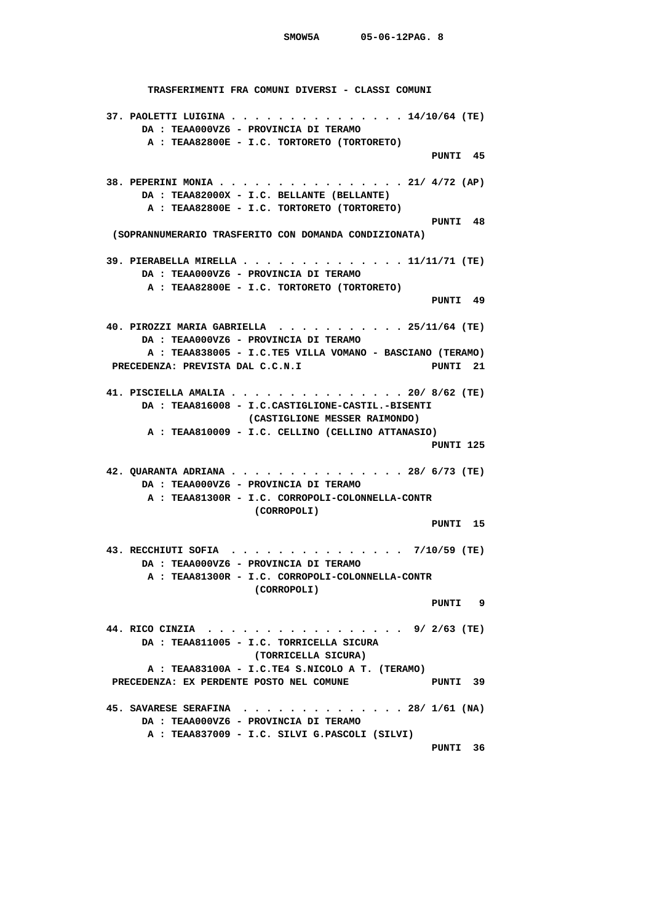**TRASFERIMENTI FRA COMUNI DIVERSI - CLASSI COMUNI 37. PAOLETTI LUIGINA . . . . . . . . . . . . . . . 14/10/64 (TE) DA : TEAA000VZ6 - PROVINCIA DI TERAMO A : TEAA82800E - I.C. TORTORETO (TORTORETO) PUNTI 45 38. PEPERINI MONIA . . . . . . . . . . . . . . . . 21/ 4/72 (AP) DA : TEAA82000X - I.C. BELLANTE (BELLANTE) A : TEAA82800E - I.C. TORTORETO (TORTORETO) PUNTI 48 (SOPRANNUMERARIO TRASFERITO CON DOMANDA CONDIZIONATA) 39. PIERABELLA MIRELLA . . . . . . . . . . . . . . 11/11/71 (TE) DA : TEAA000VZ6 - PROVINCIA DI TERAMO A : TEAA82800E - I.C. TORTORETO (TORTORETO) PUNTI 49 40. PIROZZI MARIA GABRIELLA . . . . . . . . . . . 25/11/64 (TE) DA : TEAA000VZ6 - PROVINCIA DI TERAMO A : TEAA838005 - I.C.TE5 VILLA VOMANO - BASCIANO (TERAMO)** PRECEDENZA: PREVISTA DAL C.C.N.I PUNTI 21  **41. PISCIELLA AMALIA . . . . . . . . . . . . . . . 20/ 8/62 (TE) DA : TEAA816008 - I.C.CASTIGLIONE-CASTIL.-BISENTI (CASTIGLIONE MESSER RAIMONDO) A : TEAA810009 - I.C. CELLINO (CELLINO ATTANASIO) PUNTI 125 42. QUARANTA ADRIANA . . . . . . . . . . . . . . . 28/ 6/73 (TE) DA : TEAA000VZ6 - PROVINCIA DI TERAMO A : TEAA81300R - I.C. CORROPOLI-COLONNELLA-CONTR (CORROPOLI) PUNTI 15 43. RECCHIUTI SOFIA . . . . . . . . . . . . . . . 7/10/59 (TE) DA : TEAA000VZ6 - PROVINCIA DI TERAMO A : TEAA81300R - I.C. CORROPOLI-COLONNELLA-CONTR (CORROPOLI) PUNTI 9 44. RICO CINZIA . . . . . . . . . . . . . . . . . 9/ 2/63 (TE) DA : TEAA811005 - I.C. TORRICELLA SICURA (TORRICELLA SICURA) A : TEAA83100A - I.C.TE4 S.NICOLO A T. (TERAMO) PRECEDENZA: EX PERDENTE POSTO NEL COMUNE PUNTI 39 45. SAVARESE SERAFINA . . . . . . . . . . . . . . 28/ 1/61 (NA) DA : TEAA000VZ6 - PROVINCIA DI TERAMO A : TEAA837009 - I.C. SILVI G.PASCOLI (SILVI) PUNTI 36**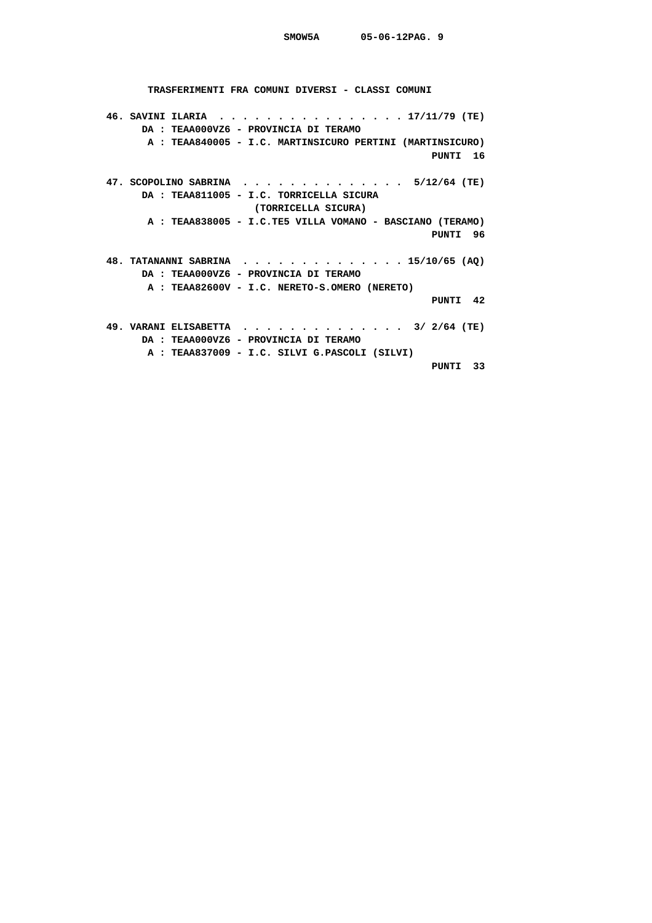**TRASFERIMENTI FRA COMUNI DIVERSI - CLASSI COMUNI**

 **46. SAVINI ILARIA . . . . . . . . . . . . . . . . 17/11/79 (TE) DA : TEAA000VZ6 - PROVINCIA DI TERAMO A : TEAA840005 - I.C. MARTINSICURO PERTINI (MARTINSICURO) PUNTI 16 47. SCOPOLINO SABRINA . . . . . . . . . . . . . . 5/12/64 (TE) DA : TEAA811005 - I.C. TORRICELLA SICURA (TORRICELLA SICURA) A : TEAA838005 - I.C.TE5 VILLA VOMANO - BASCIANO (TERAMO) PUNTI 96 48. TATANANNI SABRINA . . . . . . . . . . . . . . 15/10/65 (AQ) DA : TEAA000VZ6 - PROVINCIA DI TERAMO A : TEAA82600V - I.C. NERETO-S.OMERO (NERETO) PUNTI 42 49. VARANI ELISABETTA . . . . . . . . . . . . . . 3/ 2/64 (TE) DA : TEAA000VZ6 - PROVINCIA DI TERAMO A : TEAA837009 - I.C. SILVI G.PASCOLI (SILVI) PUNTI 33**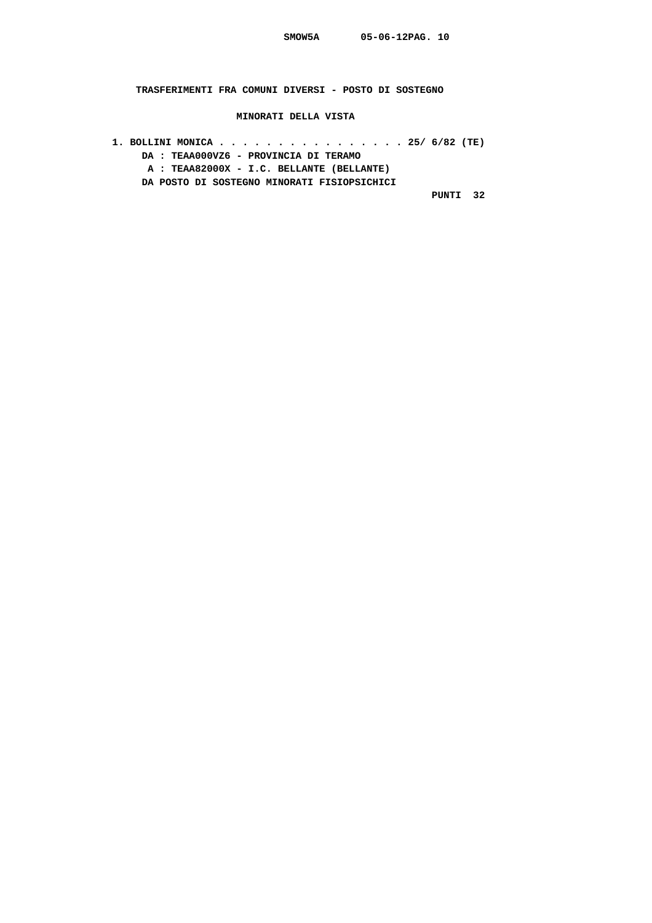**TRASFERIMENTI FRA COMUNI DIVERSI - POSTO DI SOSTEGNO**

## **MINORATI DELLA VISTA**

 **1. BOLLINI MONICA . . . . . . . . . . . . . . . . 25/ 6/82 (TE) DA : TEAA000VZ6 - PROVINCIA DI TERAMO A : TEAA82000X - I.C. BELLANTE (BELLANTE) DA POSTO DI SOSTEGNO MINORATI FISIOPSICHICI**

 **PUNTI 32**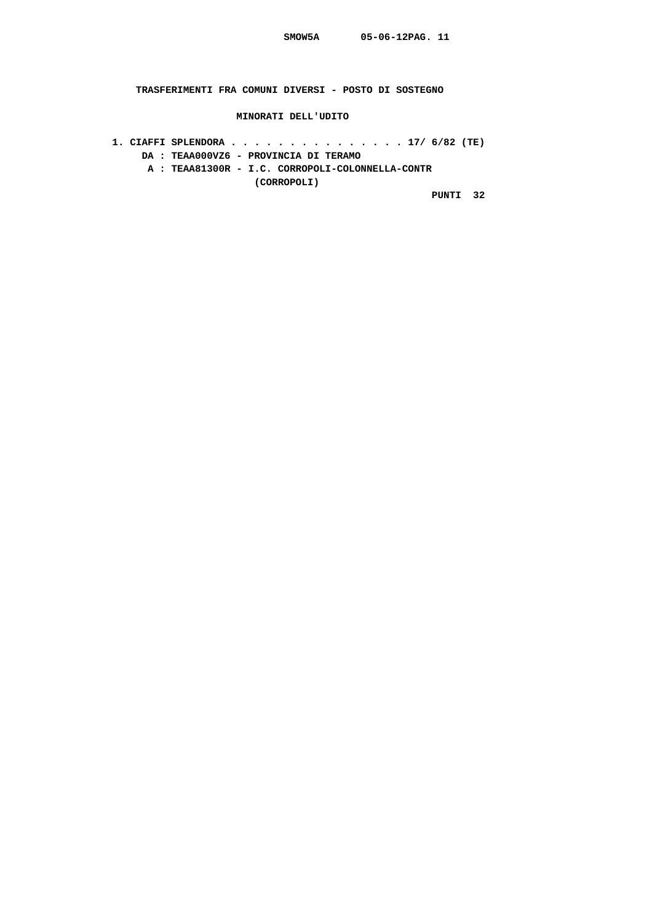**TRASFERIMENTI FRA COMUNI DIVERSI - POSTO DI SOSTEGNO**

# **MINORATI DELL'UDITO**

 **1. CIAFFI SPLENDORA . . . . . . . . . . . . . . . 17/ 6/82 (TE) DA : TEAA000VZ6 - PROVINCIA DI TERAMO A : TEAA81300R - I.C. CORROPOLI-COLONNELLA-CONTR (CORROPOLI)**

 **PUNTI 32**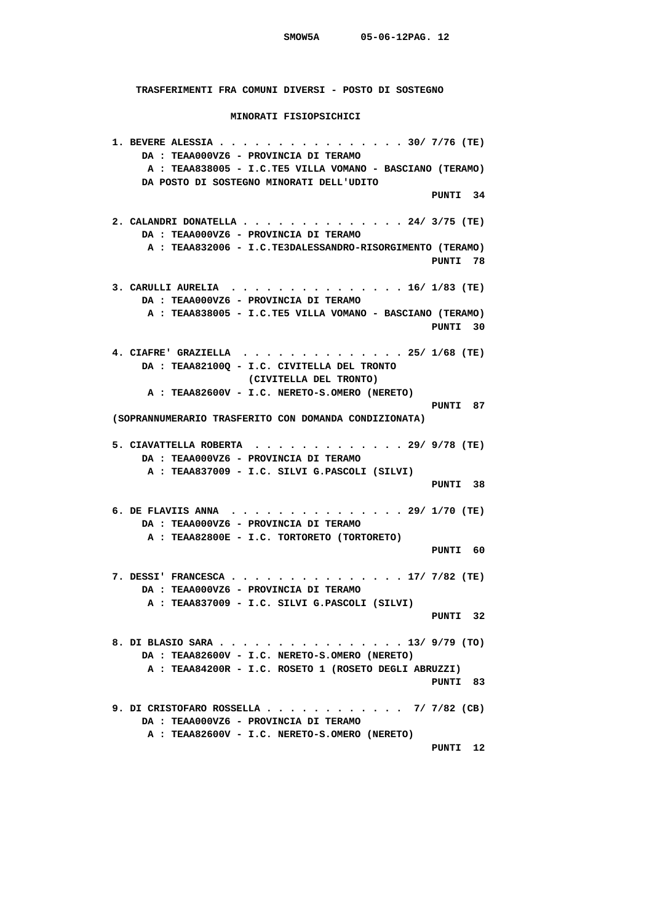**TRASFERIMENTI FRA COMUNI DIVERSI - POSTO DI SOSTEGNO MINORATI FISIOPSICHICI 1. BEVERE ALESSIA . . . . . . . . . . . . . . . . 30/ 7/76 (TE) DA : TEAA000VZ6 - PROVINCIA DI TERAMO A : TEAA838005 - I.C.TE5 VILLA VOMANO - BASCIANO (TERAMO) DA POSTO DI SOSTEGNO MINORATI DELL'UDITO PUNTI 34 2. CALANDRI DONATELLA . . . . . . . . . . . . . . 24/ 3/75 (TE) DA : TEAA000VZ6 - PROVINCIA DI TERAMO A : TEAA832006 - I.C.TE3DALESSANDRO-RISORGIMENTO (TERAMO) PUNTI 78 3. CARULLI AURELIA . . . . . . . . . . . . . . . 16/ 1/83 (TE) DA : TEAA000VZ6 - PROVINCIA DI TERAMO A : TEAA838005 - I.C.TE5 VILLA VOMANO - BASCIANO (TERAMO) PUNTI 30 4. CIAFRE' GRAZIELLA . . . . . . . . . . . . . . 25/ 1/68 (TE) DA : TEAA82100Q - I.C. CIVITELLA DEL TRONTO (CIVITELLA DEL TRONTO) A : TEAA82600V - I.C. NERETO-S.OMERO (NERETO) PUNTI 87 (SOPRANNUMERARIO TRASFERITO CON DOMANDA CONDIZIONATA) 5. CIAVATTELLA ROBERTA . . . . . . . . . . . . . 29/ 9/78 (TE) DA : TEAA000VZ6 - PROVINCIA DI TERAMO A : TEAA837009 - I.C. SILVI G.PASCOLI (SILVI) PUNTI 38 6. DE FLAVIIS ANNA . . . . . . . . . . . . . . . 29/ 1/70 (TE) DA : TEAA000VZ6 - PROVINCIA DI TERAMO A : TEAA82800E - I.C. TORTORETO (TORTORETO) PUNTI 60 7. DESSI' FRANCESCA . . . . . . . . . . . . . . . 17/ 7/82 (TE) DA : TEAA000VZ6 - PROVINCIA DI TERAMO A : TEAA837009 - I.C. SILVI G.PASCOLI (SILVI) PUNTI 32 8. DI BLASIO SARA . . . . . . . . . . . . . . . . 13/ 9/79 (TO) DA : TEAA82600V - I.C. NERETO-S.OMERO (NERETO) A : TEAA84200R - I.C. ROSETO 1 (ROSETO DEGLI ABRUZZI) PUNTI 83 9. DI CRISTOFARO ROSSELLA . . . . . . . . . . . . 7/ 7/82 (CB) DA : TEAA000VZ6 - PROVINCIA DI TERAMO A : TEAA82600V - I.C. NERETO-S.OMERO (NERETO) PUNTI 12**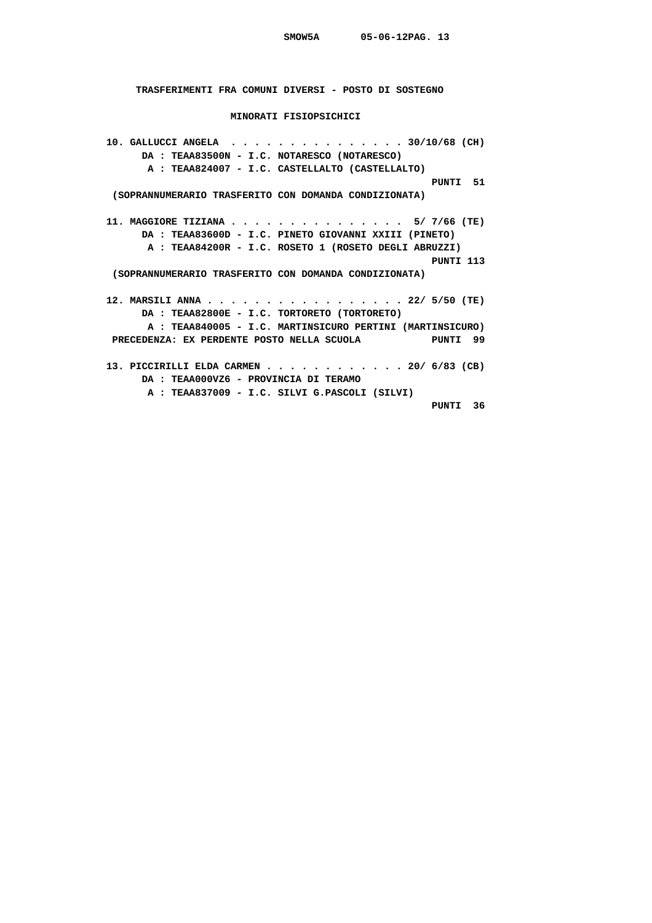**TRASFERIMENTI FRA COMUNI DIVERSI - POSTO DI SOSTEGNO**

### **MINORATI FISIOPSICHICI**

 **10. GALLUCCI ANGELA . . . . . . . . . . . . . . . 30/10/68 (CH) DA : TEAA83500N - I.C. NOTARESCO (NOTARESCO) A : TEAA824007 - I.C. CASTELLALTO (CASTELLALTO) PUNTI 51 (SOPRANNUMERARIO TRASFERITO CON DOMANDA CONDIZIONATA) 11. MAGGIORE TIZIANA . . . . . . . . . . . . . . . 5/ 7/66 (TE) DA : TEAA83600D - I.C. PINETO GIOVANNI XXIII (PINETO) A : TEAA84200R - I.C. ROSETO 1 (ROSETO DEGLI ABRUZZI) PUNTI 113 (SOPRANNUMERARIO TRASFERITO CON DOMANDA CONDIZIONATA) 12. MARSILI ANNA . . . . . . . . . . . . . . . . . 22/ 5/50 (TE) DA : TEAA82800E - I.C. TORTORETO (TORTORETO) A : TEAA840005 - I.C. MARTINSICURO PERTINI (MARTINSICURO)** PRECEDENZA: EX PERDENTE POSTO NELLA SCUOLA PUNTI 99  **13. PICCIRILLI ELDA CARMEN . . . . . . . . . . . . 20/ 6/83 (CB) DA : TEAA000VZ6 - PROVINCIA DI TERAMO A : TEAA837009 - I.C. SILVI G.PASCOLI (SILVI) PUNTI 36**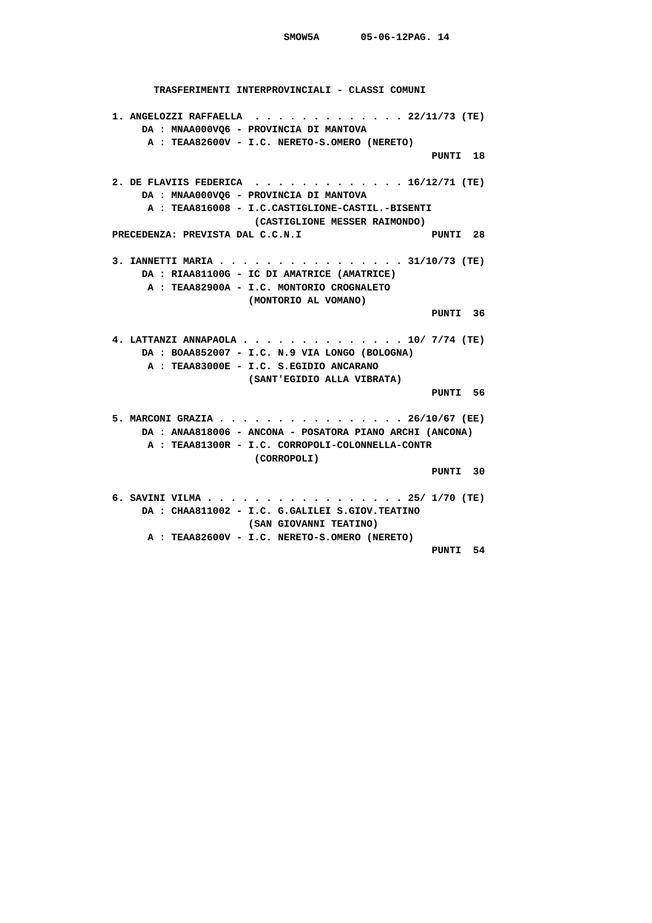**TRASFERIMENTI INTERPROVINCIALI - CLASSI COMUNI 1. ANGELOZZI RAFFAELLA . . . . . . . . . . . . . 22/11/73 (TE) DA : MNAA000VQ6 - PROVINCIA DI MANTOVA A : TEAA82600V - I.C. NERETO-S.OMERO (NERETO) PUNTI 18 2. DE FLAVIIS FEDERICA . . . . . . . . . . . . . 16/12/71 (TE) DA : MNAA000VQ6 - PROVINCIA DI MANTOVA A : TEAA816008 - I.C.CASTIGLIONE-CASTIL.-BISENTI (CASTIGLIONE MESSER RAIMONDO)** PRECEDENZA: PREVISTA DAL C.C.N.I PUNTI 28  **3. IANNETTI MARIA . . . . . . . . . . . . . . . . 31/10/73 (TE) DA : RIAA81100G - IC DI AMATRICE (AMATRICE) A : TEAA82900A - I.C. MONTORIO CROGNALETO (MONTORIO AL VOMANO) PUNTI 36 4. LATTANZI ANNAPAOLA . . . . . . . . . . . . . . 10/ 7/74 (TE) DA : BOAA852007 - I.C. N.9 VIA LONGO (BOLOGNA) A : TEAA83000E - I.C. S.EGIDIO ANCARANO (SANT'EGIDIO ALLA VIBRATA) PUNTI 56 5. MARCONI GRAZIA . . . . . . . . . . . . . . . . 26/10/67 (EE) DA : ANAA818006 - ANCONA - POSATORA PIANO ARCHI (ANCONA) A : TEAA81300R - I.C. CORROPOLI-COLONNELLA-CONTR (CORROPOLI) PUNTI 30 6. SAVINI VILMA . . . . . . . . . . . . . . . . . 25/ 1/70 (TE) DA : CHAA811002 - I.C. G.GALILEI S.GIOV.TEATINO (SAN GIOVANNI TEATINO) A : TEAA82600V - I.C. NERETO-S.OMERO (NERETO) PUNTI 54**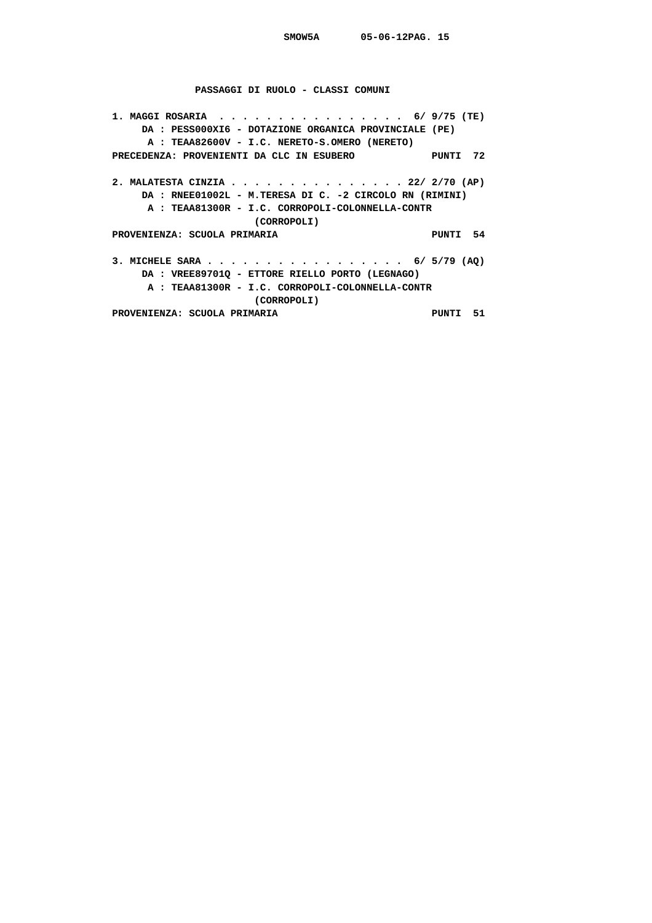**PASSAGGI DI RUOLO - CLASSI COMUNI 1. MAGGI ROSARIA . . . . . . . . . . . . . . . . 6/ 9/75 (TE) DA : PESS000XI6 - DOTAZIONE ORGANICA PROVINCIALE (PE) A : TEAA82600V - I.C. NERETO-S.OMERO (NERETO) PRECEDENZA: PROVENIENTI DA CLC IN ESUBERO PUNTI 72 2. MALATESTA CINZIA . . . . . . . . . . . . . . . 22/ 2/70 (AP) DA : RNEE01002L - M.TERESA DI C. -2 CIRCOLO RN (RIMINI) A : TEAA81300R - I.C. CORROPOLI-COLONNELLA-CONTR (CORROPOLI) PROVENIENZA: SCUOLA PRIMARIA** PUNTI 54  **3. MICHELE SARA . . . . . . . . . . . . . . . . . 6/ 5/79 (AQ) DA : VREE89701Q - ETTORE RIELLO PORTO (LEGNAGO) A : TEAA81300R - I.C. CORROPOLI-COLONNELLA-CONTR (CORROPOLI)** PROVENIENZA: SCUOLA PRIMARIA **PUNTI 51**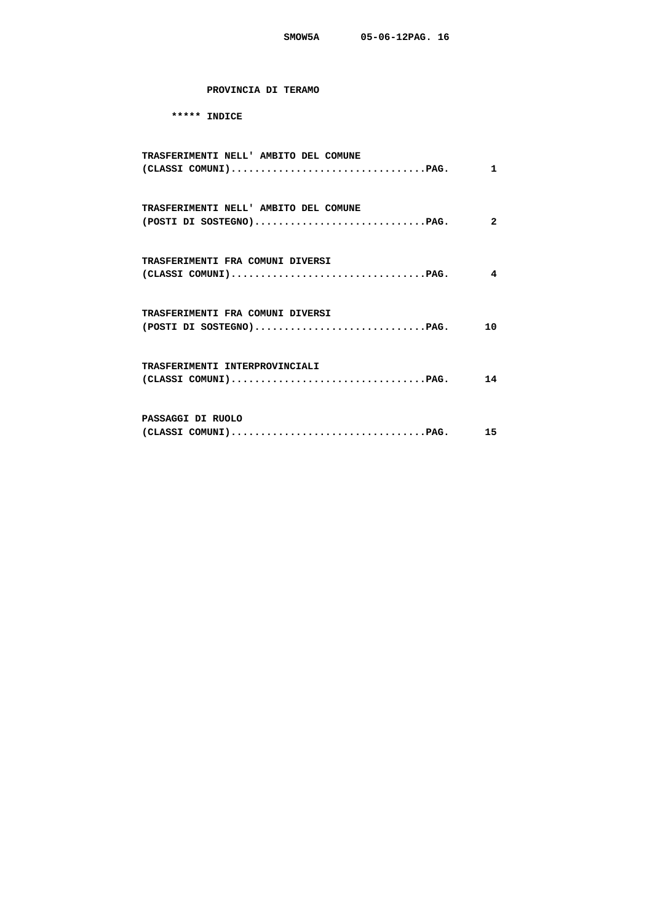**PROVINCIA DI TERAMO**

 **\*\*\*\*\* INDICE**

| TRASFERIMENTI NELL' AMBITO DEL COMUNE                            | 1.           |
|------------------------------------------------------------------|--------------|
| TRASFERIMENTI NELL' AMBITO DEL COMUNE<br>(POSTI DI SOSTEGNO)PAG. | $\mathbf{2}$ |
| TRASFERIMENTI FRA COMUNI DIVERSI                                 | 4            |
| TRASFERIMENTI FRA COMUNI DIVERSI                                 | 10           |
| TRASFERIMENTI INTERPROVINCIALI                                   | 14           |
| PASSAGGI DI RUOLO                                                | 15           |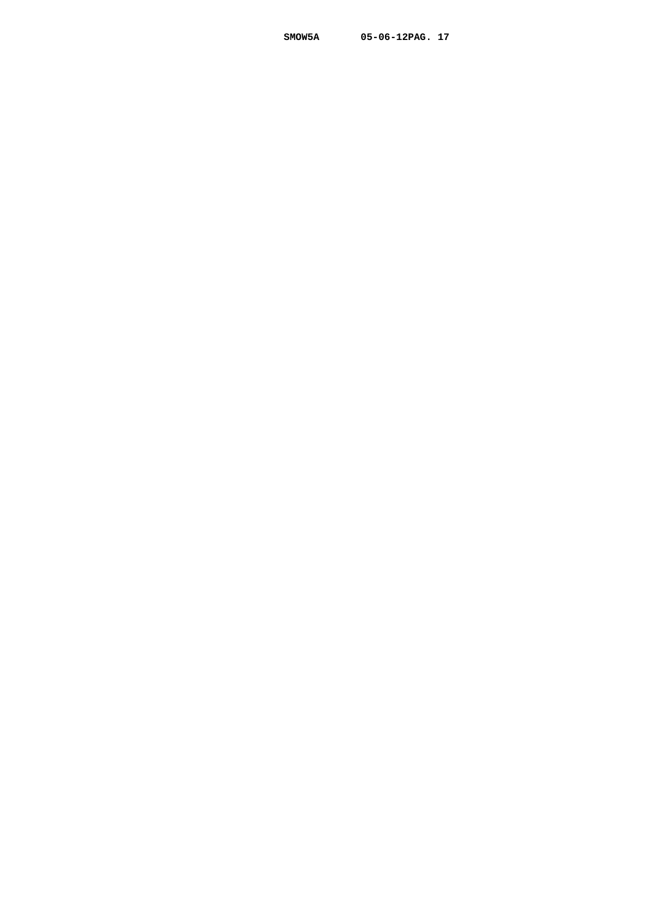**SMOW5A 05-06-12PAG. 17**